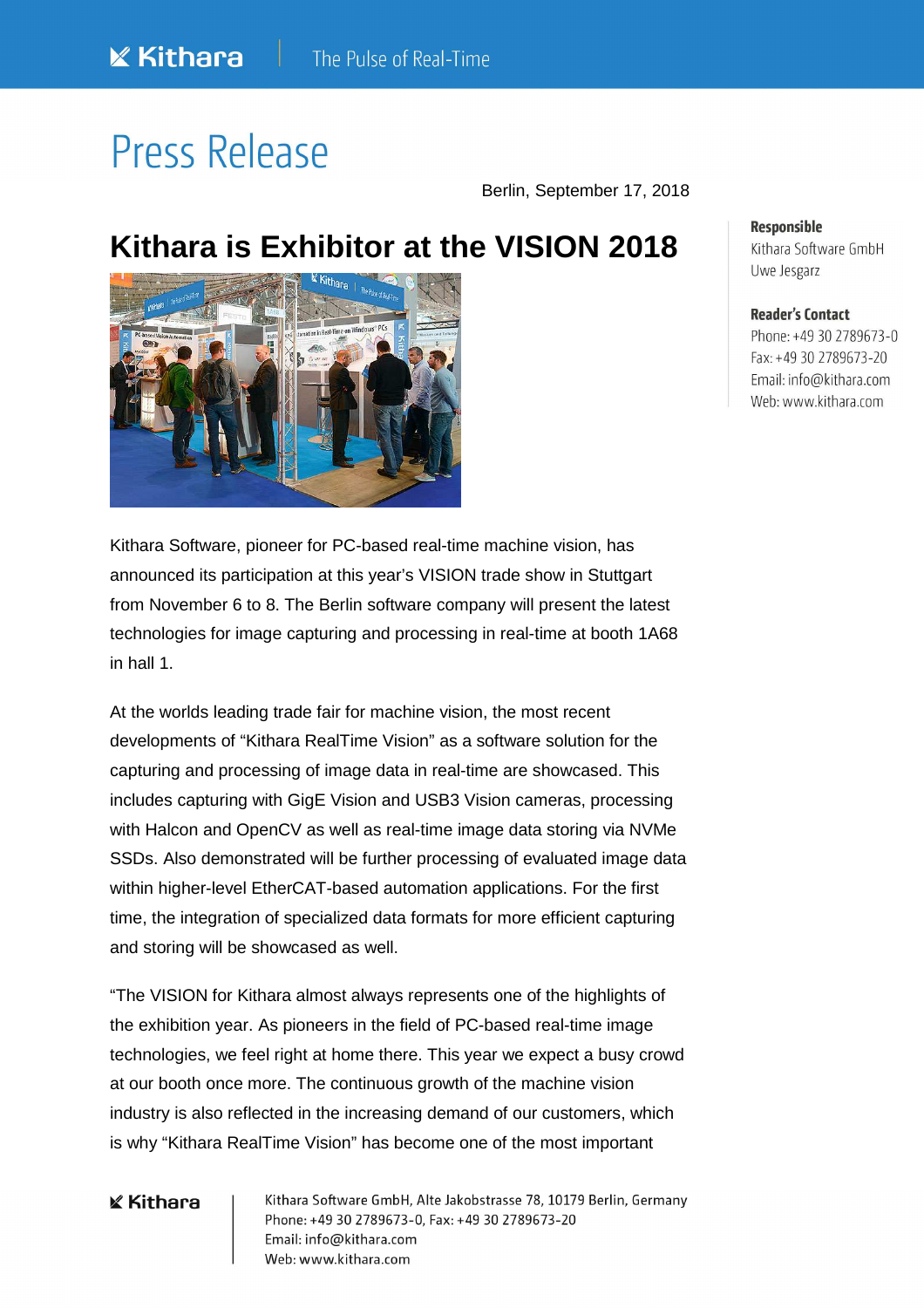# Press Release

Berlin, September 17, 2018

## **Kithara is Exhibitor at the VISION 2018**

Kithara Software, pioneer for PC-based real-time machine vision, has announced its participation at this year's VISION trade show in Stuttgart from November 6 to 8. The Berlin software company will present the latest technologies for image capturing and processing in real-time at booth 1A68 in hall 1.

At the worlds leading trade fair for machine vision, the most recent developments of "Kithara RealTime Vision" as a software solution for the capturing and processing of image data in real-time are showcased. This includes capturing with GigE Vision and USB3 Vision cameras, processing with Halcon and OpenCV as well as real-time image data storing via NVMe SSDs. Also demonstrated will be further processing of evaluated image data within higher-level EtherCAT-based automation applications. For the first time, the integration of specialized data formats for more efficient capturing and storing will be showcased as well.

"The VISION for Kithara almost always represents one of the highlights of the exhibition year. As pioneers in the field of PC-based real-time image technologies, we feel right at home there. This year we expect a busy crowd at our booth once more. The continuous growth of the machine vision industry is also reflected in the increasing demand of our customers, which is why "Kithara RealTime Vision" has become one of the most important

### **K** Kithara

Kithara Software GmbH, Alte Jakobstrasse 78, 10179 Berlin, Germany Phone: +49 30 2789673-0, Fax: +49 30 2789673-20 Email: info@kithara.com Web: www.kithara.com

### **Responsible**

Kithara Software GmbH Uwe Jesgarz

#### **Reader's Contact**

Phone: +49 30 2789673-0 Fax: +49 30 2789673-20 Email: info@kithara.com Web: www.kithara.com